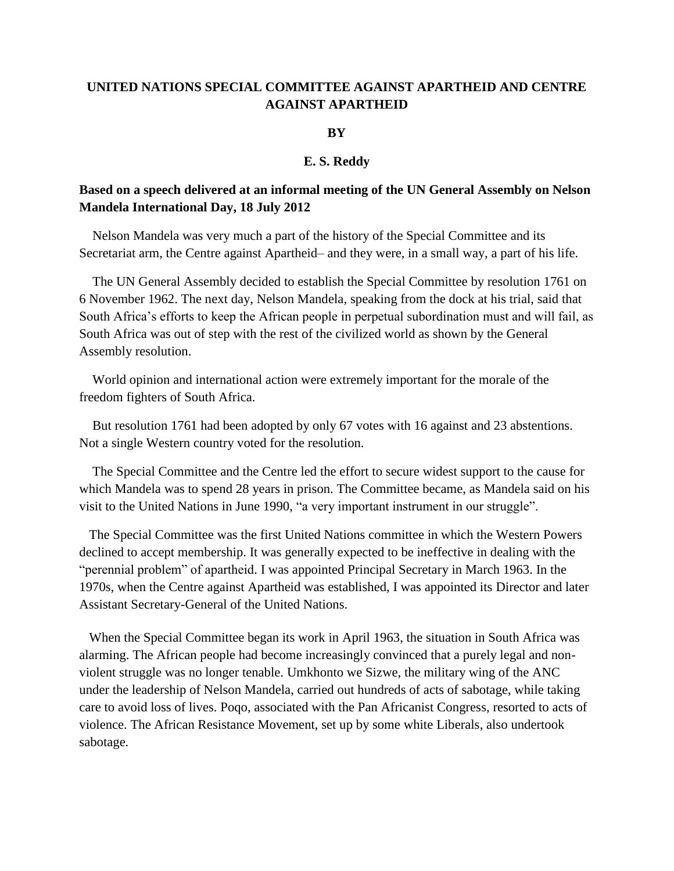# **UNITED NATIONS SPECIAL COMMITTEE AGAINST APARTHEID AND CENTRE AGAINST APARTHEID**

### **BY**

#### **E. S. Reddy**

# **Based on a speech delivered at an informal meeting of the UN General Assembly on Nelson Mandela International Day, 18 July 2012**

 Nelson Mandela was very much a part of the history of the Special Committee and its Secretariat arm, the Centre against Apartheid– and they were, in a small way, a part of his life.

 The UN General Assembly decided to establish the Special Committee by resolution 1761 on 6 November 1962. The next day, Nelson Mandela, speaking from the dock at his trial, said that South Africa's efforts to keep the African people in perpetual subordination must and will fail, as South Africa was out of step with the rest of the civilized world as shown by the General Assembly resolution.

 World opinion and international action were extremely important for the morale of the freedom fighters of South Africa.

 But resolution 1761 had been adopted by only 67 votes with 16 against and 23 abstentions. Not a single Western country voted for the resolution.

 The Special Committee and the Centre led the effort to secure widest support to the cause for which Mandela was to spend 28 years in prison. The Committee became, as Mandela said on his visit to the United Nations in June 1990, "a very important instrument in our struggle".

 The Special Committee was the first United Nations committee in which the Western Powers declined to accept membership. It was generally expected to be ineffective in dealing with the "perennial problem" of apartheid. I was appointed Principal Secretary in March 1963. In the 1970s, when the Centre against Apartheid was established, I was appointed its Director and later Assistant Secretary-General of the United Nations.

 When the Special Committee began its work in April 1963, the situation in South Africa was alarming. The African people had become increasingly convinced that a purely legal and nonviolent struggle was no longer tenable. Umkhonto we Sizwe, the military wing of the ANC under the leadership of Nelson Mandela, carried out hundreds of acts of sabotage, while taking care to avoid loss of lives. Poqo, associated with the Pan Africanist Congress, resorted to acts of violence. The African Resistance Movement, set up by some white Liberals, also undertook sabotage.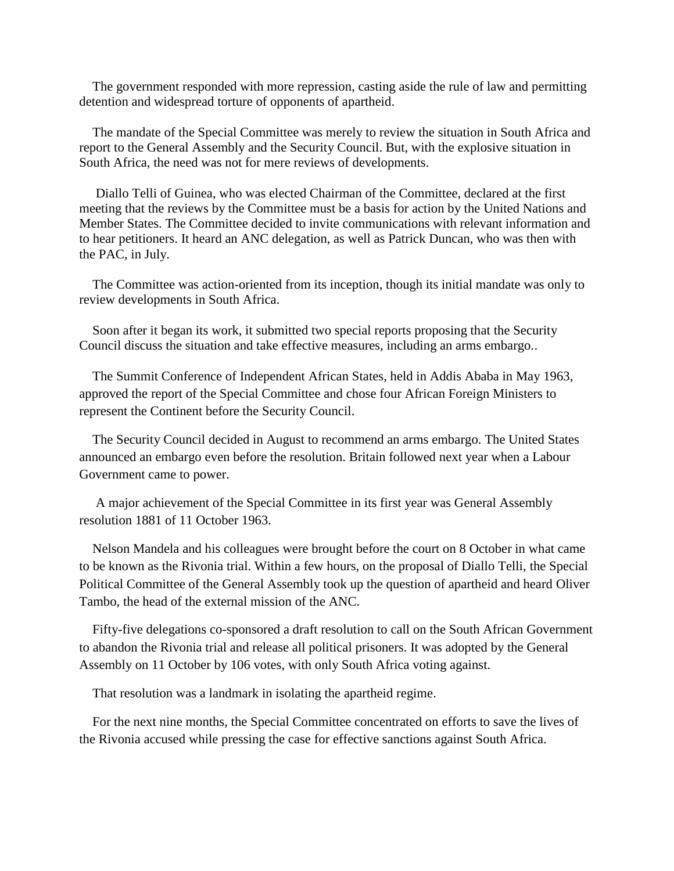The government responded with more repression, casting aside the rule of law and permitting detention and widespread torture of opponents of apartheid.

 The mandate of the Special Committee was merely to review the situation in South Africa and report to the General Assembly and the Security Council. But, with the explosive situation in South Africa, the need was not for mere reviews of developments.

 Diallo Telli of Guinea, who was elected Chairman of the Committee, declared at the first meeting that the reviews by the Committee must be a basis for action by the United Nations and Member States. The Committee decided to invite communications with relevant information and to hear petitioners. It heard an ANC delegation, as well as Patrick Duncan, who was then with the PAC, in July.

 The Committee was action-oriented from its inception, though its initial mandate was only to review developments in South Africa.

 Soon after it began its work, it submitted two special reports proposing that the Security Council discuss the situation and take effective measures, including an arms embargo..

 The Summit Conference of Independent African States, held in Addis Ababa in May 1963, approved the report of the Special Committee and chose four African Foreign Ministers to represent the Continent before the Security Council.

 The Security Council decided in August to recommend an arms embargo. The United States announced an embargo even before the resolution. Britain followed next year when a Labour Government came to power.

 A major achievement of the Special Committee in its first year was General Assembly resolution 1881 of 11 October 1963.

 Nelson Mandela and his colleagues were brought before the court on 8 October in what came to be known as the Rivonia trial. Within a few hours, on the proposal of Diallo Telli, the Special Political Committee of the General Assembly took up the question of apartheid and heard Oliver Tambo, the head of the external mission of the ANC.

 Fifty-five delegations co-sponsored a draft resolution to call on the South African Government to abandon the Rivonia trial and release all political prisoners. It was adopted by the General Assembly on 11 October by 106 votes, with only South Africa voting against.

That resolution was a landmark in isolating the apartheid regime.

 For the next nine months, the Special Committee concentrated on efforts to save the lives of the Rivonia accused while pressing the case for effective sanctions against South Africa.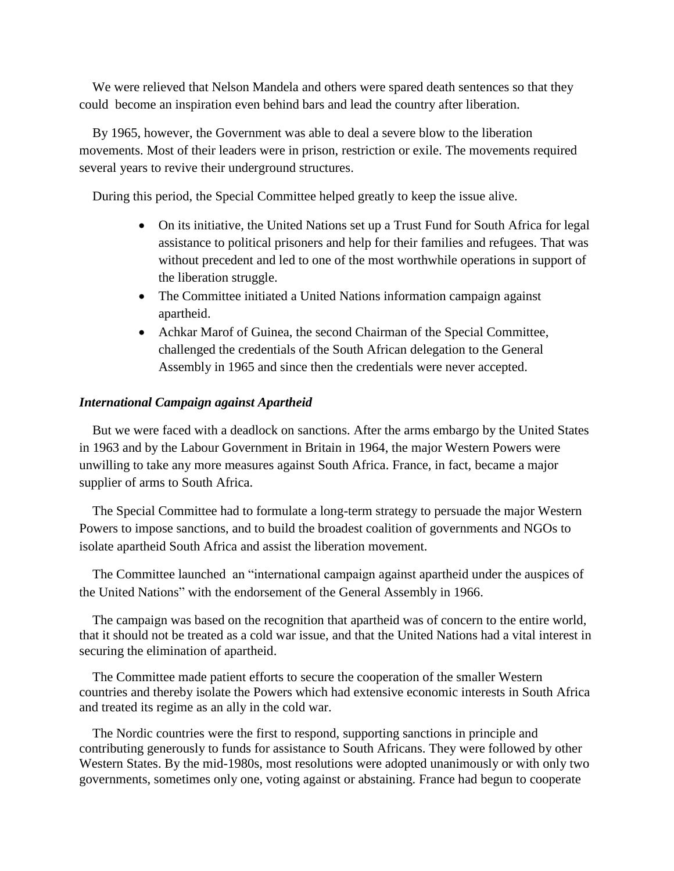We were relieved that Nelson Mandela and others were spared death sentences so that they could become an inspiration even behind bars and lead the country after liberation.

 By 1965, however, the Government was able to deal a severe blow to the liberation movements. Most of their leaders were in prison, restriction or exile. The movements required several years to revive their underground structures.

During this period, the Special Committee helped greatly to keep the issue alive.

- On its initiative, the United Nations set up a Trust Fund for South Africa for legal assistance to political prisoners and help for their families and refugees. That was without precedent and led to one of the most worthwhile operations in support of the liberation struggle.
- The Committee initiated a United Nations information campaign against apartheid.
- Achkar Marof of Guinea, the second Chairman of the Special Committee, challenged the credentials of the South African delegation to the General Assembly in 1965 and since then the credentials were never accepted.

## *International Campaign against Apartheid*

 But we were faced with a deadlock on sanctions. After the arms embargo by the United States in 1963 and by the Labour Government in Britain in 1964, the major Western Powers were unwilling to take any more measures against South Africa. France, in fact, became a major supplier of arms to South Africa.

 The Special Committee had to formulate a long-term strategy to persuade the major Western Powers to impose sanctions, and to build the broadest coalition of governments and NGOs to isolate apartheid South Africa and assist the liberation movement.

 The Committee launched an "international campaign against apartheid under the auspices of the United Nations" with the endorsement of the General Assembly in 1966.

 The campaign was based on the recognition that apartheid was of concern to the entire world, that it should not be treated as a cold war issue, and that the United Nations had a vital interest in securing the elimination of apartheid.

 The Committee made patient efforts to secure the cooperation of the smaller Western countries and thereby isolate the Powers which had extensive economic interests in South Africa and treated its regime as an ally in the cold war.

 The Nordic countries were the first to respond, supporting sanctions in principle and contributing generously to funds for assistance to South Africans. They were followed by other Western States. By the mid-1980s, most resolutions were adopted unanimously or with only two governments, sometimes only one, voting against or abstaining. France had begun to cooperate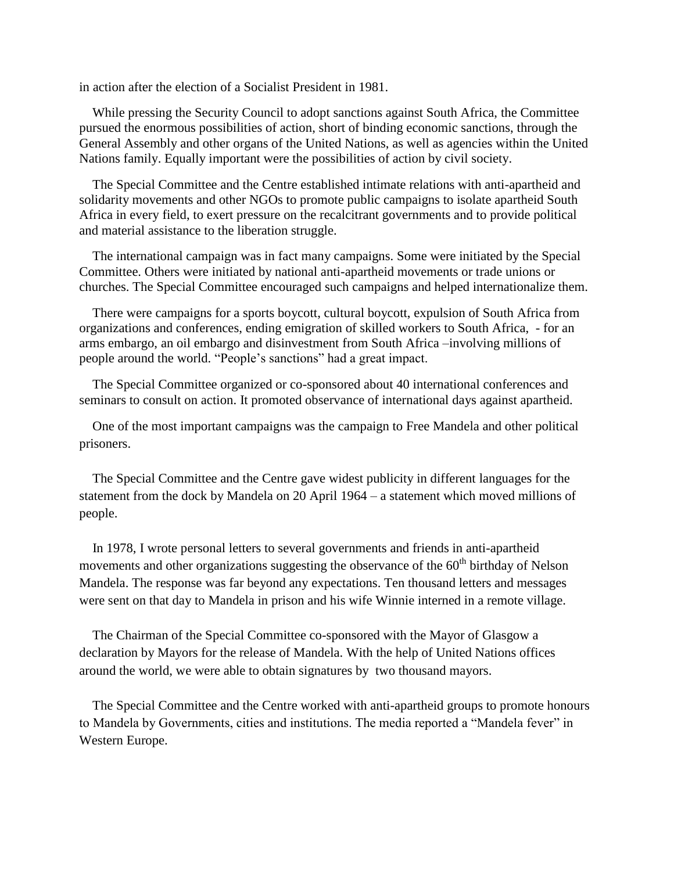in action after the election of a Socialist President in 1981.

 While pressing the Security Council to adopt sanctions against South Africa, the Committee pursued the enormous possibilities of action, short of binding economic sanctions, through the General Assembly and other organs of the United Nations, as well as agencies within the United Nations family. Equally important were the possibilities of action by civil society.

 The Special Committee and the Centre established intimate relations with anti-apartheid and solidarity movements and other NGOs to promote public campaigns to isolate apartheid South Africa in every field, to exert pressure on the recalcitrant governments and to provide political and material assistance to the liberation struggle.

 The international campaign was in fact many campaigns. Some were initiated by the Special Committee. Others were initiated by national anti-apartheid movements or trade unions or churches. The Special Committee encouraged such campaigns and helped internationalize them.

 There were campaigns for a sports boycott, cultural boycott, expulsion of South Africa from organizations and conferences, ending emigration of skilled workers to South Africa, - for an arms embargo, an oil embargo and disinvestment from South Africa –involving millions of people around the world. "People's sanctions" had a great impact.

 The Special Committee organized or co-sponsored about 40 international conferences and seminars to consult on action. It promoted observance of international days against apartheid.

 One of the most important campaigns was the campaign to Free Mandela and other political prisoners.

 The Special Committee and the Centre gave widest publicity in different languages for the statement from the dock by Mandela on 20 April 1964 – a statement which moved millions of people.

 In 1978, I wrote personal letters to several governments and friends in anti-apartheid movements and other organizations suggesting the observance of the  $60<sup>th</sup>$  birthday of Nelson Mandela. The response was far beyond any expectations. Ten thousand letters and messages were sent on that day to Mandela in prison and his wife Winnie interned in a remote village.

 The Chairman of the Special Committee co-sponsored with the Mayor of Glasgow a declaration by Mayors for the release of Mandela. With the help of United Nations offices around the world, we were able to obtain signatures by two thousand mayors.

 The Special Committee and the Centre worked with anti-apartheid groups to promote honours to Mandela by Governments, cities and institutions. The media reported a "Mandela fever" in Western Europe.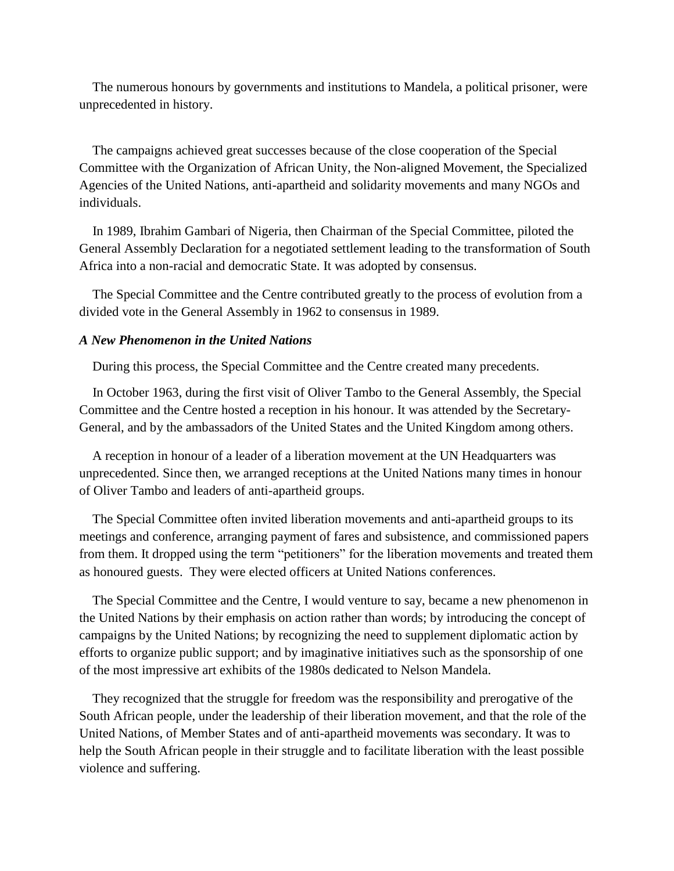The numerous honours by governments and institutions to Mandela, a political prisoner, were unprecedented in history.

 The campaigns achieved great successes because of the close cooperation of the Special Committee with the Organization of African Unity, the Non-aligned Movement, the Specialized Agencies of the United Nations, anti-apartheid and solidarity movements and many NGOs and individuals.

 In 1989, Ibrahim Gambari of Nigeria, then Chairman of the Special Committee, piloted the General Assembly Declaration for a negotiated settlement leading to the transformation of South Africa into a non-racial and democratic State. It was adopted by consensus.

 The Special Committee and the Centre contributed greatly to the process of evolution from a divided vote in the General Assembly in 1962 to consensus in 1989.

### *A New Phenomenon in the United Nations*

During this process, the Special Committee and the Centre created many precedents.

 In October 1963, during the first visit of Oliver Tambo to the General Assembly, the Special Committee and the Centre hosted a reception in his honour. It was attended by the Secretary-General, and by the ambassadors of the United States and the United Kingdom among others.

 A reception in honour of a leader of a liberation movement at the UN Headquarters was unprecedented. Since then, we arranged receptions at the United Nations many times in honour of Oliver Tambo and leaders of anti-apartheid groups.

 The Special Committee often invited liberation movements and anti-apartheid groups to its meetings and conference, arranging payment of fares and subsistence, and commissioned papers from them. It dropped using the term "petitioners" for the liberation movements and treated them as honoured guests. They were elected officers at United Nations conferences.

 The Special Committee and the Centre, I would venture to say, became a new phenomenon in the United Nations by their emphasis on action rather than words; by introducing the concept of campaigns by the United Nations; by recognizing the need to supplement diplomatic action by efforts to organize public support; and by imaginative initiatives such as the sponsorship of one of the most impressive art exhibits of the 1980s dedicated to Nelson Mandela.

 They recognized that the struggle for freedom was the responsibility and prerogative of the South African people, under the leadership of their liberation movement, and that the role of the United Nations, of Member States and of anti-apartheid movements was secondary. It was to help the South African people in their struggle and to facilitate liberation with the least possible violence and suffering.